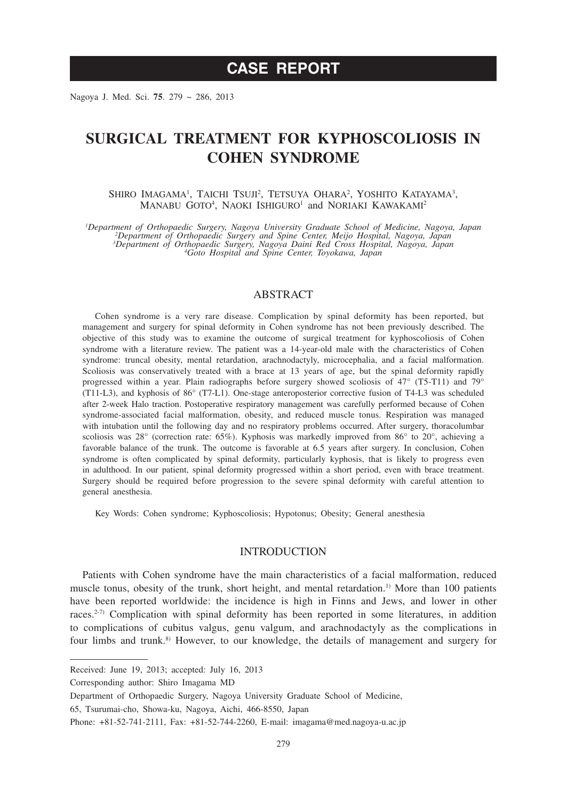Nagoya J. Med. Sci. **75**. 279 ~ 286, 2013

# **SURGICAL TREATMENT FOR KYPHOSCOLIOSIS IN COHEN SYNDROME**

SHIRO IMAGAMA<sup>1</sup>, TAICHI TSUJI<sup>2</sup>, TETSUYA OHARA<sup>2</sup>, YOSHITO KATAYAMA<sup>3</sup>, MANABU GOTO<sup>4</sup>, NAOKI ISHIGURO<sup>1</sup> and NORIAKI KAWAKAMI<sup>2</sup>

*1 Department of Orthopaedic Surgery, Nagoya University Graduate School of Medicine, Nagoya, Japan <sup>2</sup> Department of Orthopaedic Surgery and Spine Center, Meijo Hospital, Nagoya, Japan 3 Department of Orthopaedic Surgery, Nagoya Daini Red Cross Hospital, Nagoya, Japan <sup>4</sup> Goto Hospital and Spine Center, Toyokawa, Japan*

## **ABSTRACT**

Cohen syndrome is a very rare disease. Complication by spinal deformity has been reported, but management and surgery for spinal deformity in Cohen syndrome has not been previously described. The objective of this study was to examine the outcome of surgical treatment for kyphoscoliosis of Cohen syndrome with a literature review. The patient was a 14-year-old male with the characteristics of Cohen syndrome: truncal obesity, mental retardation, arachnodactyly, microcephalia, and a facial malformation. Scoliosis was conservatively treated with a brace at 13 years of age, but the spinal deformity rapidly progressed within a year. Plain radiographs before surgery showed scoliosis of 47° (T5-T11) and 79° (T11-L3), and kyphosis of 86° (T7-L1). One-stage anteroposterior corrective fusion of T4-L3 was scheduled after 2-week Halo traction. Postoperative respiratory management was carefully performed because of Cohen syndrome-associated facial malformation, obesity, and reduced muscle tonus. Respiration was managed with intubation until the following day and no respiratory problems occurred. After surgery, thoracolumbar scoliosis was 28° (correction rate: 65%). Kyphosis was markedly improved from 86° to 20°, achieving a favorable balance of the trunk. The outcome is favorable at 6.5 years after surgery. In conclusion, Cohen syndrome is often complicated by spinal deformity, particularly kyphosis, that is likely to progress even in adulthood. In our patient, spinal deformity progressed within a short period, even with brace treatment. Surgery should be required before progression to the severe spinal deformity with careful attention to general anesthesia.

Key Words: Cohen syndrome; Kyphoscoliosis; Hypotonus; Obesity; General anesthesia

### INTRODUCTION

Patients with Cohen syndrome have the main characteristics of a facial malformation, reduced muscle tonus, obesity of the trunk, short height, and mental retardation.<sup>1)</sup> More than 100 patients have been reported worldwide: the incidence is high in Finns and Jews, and lower in other races.<sup>2-7)</sup> Complication with spinal deformity has been reported in some literatures, in addition to complications of cubitus valgus, genu valgum, and arachnodactyly as the complications in four limbs and trunk.<sup>8)</sup> However, to our knowledge, the details of management and surgery for

Received: June 19, 2013; accepted: July 16, 2013

Corresponding author: Shiro Imagama MD

Department of Orthopaedic Surgery, Nagoya University Graduate School of Medicine,

<sup>65,</sup> Tsurumai-cho, Showa-ku, Nagoya, Aichi, 466-8550, Japan

Phone: +81-52-741-2111, Fax: +81-52-744-2260, E-mail: imagama@med.nagoya-u.ac.jp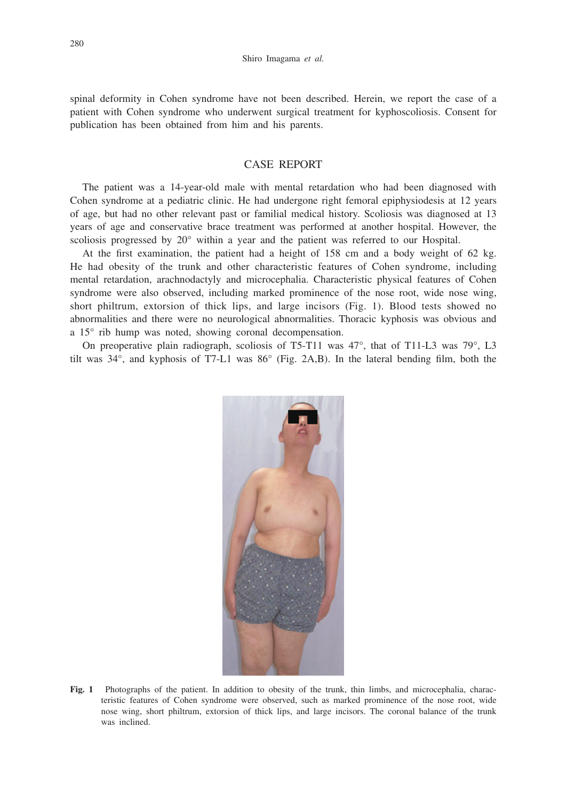spinal deformity in Cohen syndrome have not been described. Herein, we report the case of a patient with Cohen syndrome who underwent surgical treatment for kyphoscoliosis. Consent for publication has been obtained from him and his parents.

## CASE REPORT

The patient was a 14-year-old male with mental retardation who had been diagnosed with Cohen syndrome at a pediatric clinic. He had undergone right femoral epiphysiodesis at 12 years of age, but had no other relevant past or familial medical history. Scoliosis was diagnosed at 13 years of age and conservative brace treatment was performed at another hospital. However, the scoliosis progressed by 20° within a year and the patient was referred to our Hospital.

At the first examination, the patient had a height of 158 cm and a body weight of 62 kg. He had obesity of the trunk and other characteristic features of Cohen syndrome, including mental retardation, arachnodactyly and microcephalia. Characteristic physical features of Cohen syndrome were also observed, including marked prominence of the nose root, wide nose wing, short philtrum, extorsion of thick lips, and large incisors (Fig. 1). Blood tests showed no abnormalities and there were no neurological abnormalities. Thoracic kyphosis was obvious and a 15° rib hump was noted, showing coronal decompensation.

On preoperative plain radiograph, scoliosis of T5-T11 was 47°, that of T11-L3 was 79°, L3 tilt was 34°, and kyphosis of T7-L1 was 86° (Fig. 2A,B). In the lateral bending film, both the



**Fig. 1** Photographs of the patient. In addition to obesity of the trunk, thin limbs, and microcephalia, characteristic features of Cohen syndrome were observed, such as marked prominence of the nose root, wide nose wing, short philtrum, extorsion of thick lips, and large incisors. The coronal balance of the trunk was inclined.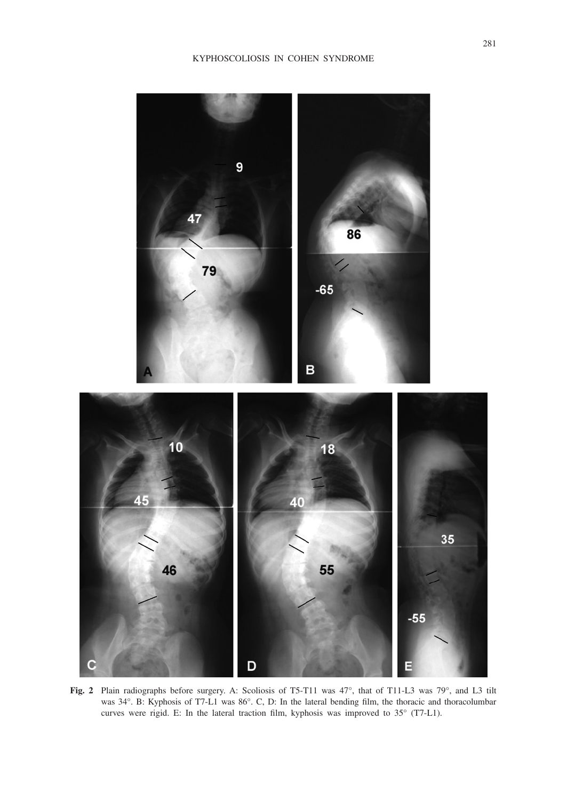

**Fig. 2** Plain radiographs before surgery. A: Scoliosis of T5-T11 was 47°, that of T11-L3 was 79°, and L3 tilt was 34°. B: Kyphosis of T7-L1 was 86°. C, D: In the lateral bending film, the thoracic and thoracolumbar curves were rigid. E: In the lateral traction film, kyphosis was improved to 35° (T7-L1).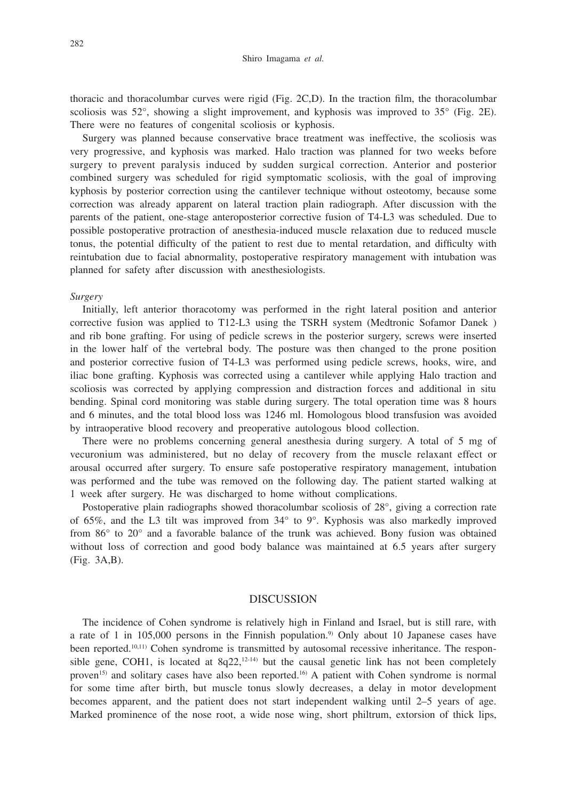thoracic and thoracolumbar curves were rigid (Fig. 2C,D). In the traction film, the thoracolumbar scoliosis was  $52^{\circ}$ , showing a slight improvement, and kyphosis was improved to  $35^{\circ}$  (Fig. 2E). There were no features of congenital scoliosis or kyphosis.

Surgery was planned because conservative brace treatment was ineffective, the scoliosis was very progressive, and kyphosis was marked. Halo traction was planned for two weeks before surgery to prevent paralysis induced by sudden surgical correction. Anterior and posterior combined surgery was scheduled for rigid symptomatic scoliosis, with the goal of improving kyphosis by posterior correction using the cantilever technique without osteotomy, because some correction was already apparent on lateral traction plain radiograph. After discussion with the parents of the patient, one-stage anteroposterior corrective fusion of T4-L3 was scheduled. Due to possible postoperative protraction of anesthesia-induced muscle relaxation due to reduced muscle tonus, the potential difficulty of the patient to rest due to mental retardation, and difficulty with reintubation due to facial abnormality, postoperative respiratory management with intubation was planned for safety after discussion with anesthesiologists.

#### *Surgery*

Initially, left anterior thoracotomy was performed in the right lateral position and anterior corrective fusion was applied to T12-L3 using the TSRH system (Medtronic Sofamor Danek ) and rib bone grafting. For using of pedicle screws in the posterior surgery, screws were inserted in the lower half of the vertebral body. The posture was then changed to the prone position and posterior corrective fusion of T4-L3 was performed using pedicle screws, hooks, wire, and iliac bone grafting. Kyphosis was corrected using a cantilever while applying Halo traction and scoliosis was corrected by applying compression and distraction forces and additional in situ bending. Spinal cord monitoring was stable during surgery. The total operation time was 8 hours and 6 minutes, and the total blood loss was 1246 ml. Homologous blood transfusion was avoided by intraoperative blood recovery and preoperative autologous blood collection.

There were no problems concerning general anesthesia during surgery. A total of 5 mg of vecuronium was administered, but no delay of recovery from the muscle relaxant effect or arousal occurred after surgery. To ensure safe postoperative respiratory management, intubation was performed and the tube was removed on the following day. The patient started walking at 1 week after surgery. He was discharged to home without complications.

Postoperative plain radiographs showed thoracolumbar scoliosis of 28°, giving a correction rate of 65%, and the L3 tilt was improved from 34° to 9°. Kyphosis was also markedly improved from 86° to 20° and a favorable balance of the trunk was achieved. Bony fusion was obtained without loss of correction and good body balance was maintained at 6.5 years after surgery (Fig. 3A,B).

#### DISCUSSION

The incidence of Cohen syndrome is relatively high in Finland and Israel, but is still rare, with a rate of 1 in  $105,000$  persons in the Finnish population.<sup>9)</sup> Only about 10 Japanese cases have been reported. $10,111$ ) Cohen syndrome is transmitted by autosomal recessive inheritance. The responsible gene, COH1, is located at  $8q22$ ,<sup>12-14)</sup> but the causal genetic link has not been completely proven<sup>15)</sup> and solitary cases have also been reported.<sup>16</sup> A patient with Cohen syndrome is normal for some time after birth, but muscle tonus slowly decreases, a delay in motor development becomes apparent, and the patient does not start independent walking until 2–5 years of age. Marked prominence of the nose root, a wide nose wing, short philtrum, extorsion of thick lips,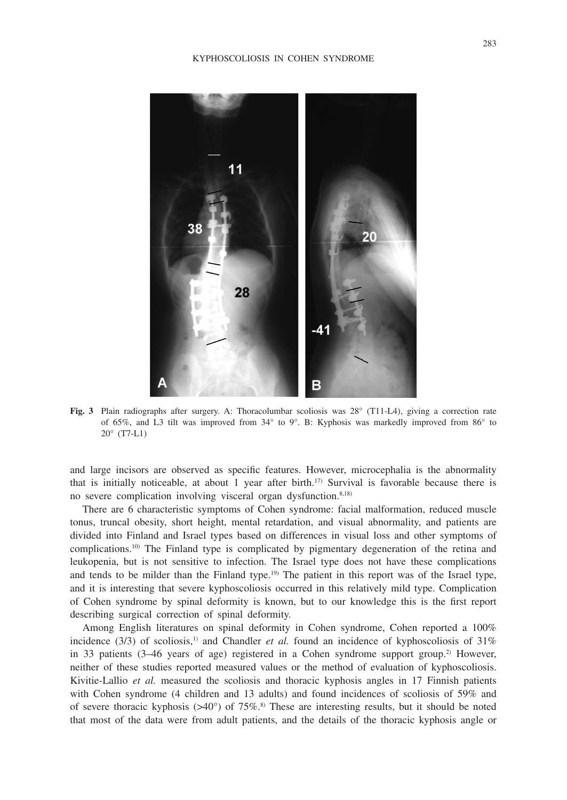

**Fig. 3** Plain radiographs after surgery. A: Thoracolumbar scoliosis was 28° (T11-L4), giving a correction rate of 65%, and L3 tilt was improved from 34° to 9°. B: Kyphosis was markedly improved from 86° to 20° (T7-L1)

and large incisors are observed as specific features. However, microcephalia is the abnormality that is initially noticeable, at about 1 year after birth.<sup>17</sup> Survival is favorable because there is no severe complication involving visceral organ dysfunction.<sup>8,18)</sup>

There are 6 characteristic symptoms of Cohen syndrome: facial malformation, reduced muscle tonus, truncal obesity, short height, mental retardation, and visual abnormality, and patients are divided into Finland and Israel types based on differences in visual loss and other symptoms of complications.10) The Finland type is complicated by pigmentary degeneration of the retina and leukopenia, but is not sensitive to infection. The Israel type does not have these complications and tends to be milder than the Finland type.<sup>19)</sup> The patient in this report was of the Israel type, and it is interesting that severe kyphoscoliosis occurred in this relatively mild type. Complication of Cohen syndrome by spinal deformity is known, but to our knowledge this is the first report describing surgical correction of spinal deformity.

Among English literatures on spinal deformity in Cohen syndrome, Cohen reported a 100% incidence (3/3) of scoliosis,<sup>1)</sup> and Chandler *et al.* found an incidence of kyphoscoliosis of 31% in 33 patients  $(3-46$  years of age) registered in a Cohen syndrome support group.<sup>2)</sup> However, neither of these studies reported measured values or the method of evaluation of kyphoscoliosis. Kivitie-Lallio *et al.* measured the scoliosis and thoracic kyphosis angles in 17 Finnish patients with Cohen syndrome (4 children and 13 adults) and found incidences of scoliosis of 59% and of severe thoracic kyphosis ( $>40^{\circ}$ ) of 75%.<sup>8)</sup> These are interesting results, but it should be noted that most of the data were from adult patients, and the details of the thoracic kyphosis angle or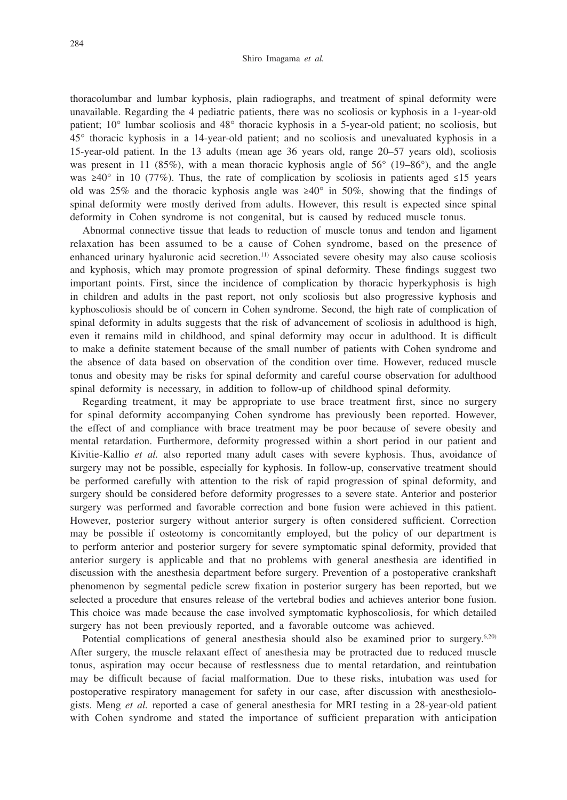thoracolumbar and lumbar kyphosis, plain radiographs, and treatment of spinal deformity were unavailable. Regarding the 4 pediatric patients, there was no scoliosis or kyphosis in a 1-year-old patient; 10° lumbar scoliosis and 48° thoracic kyphosis in a 5-year-old patient; no scoliosis, but 45° thoracic kyphosis in a 14-year-old patient; and no scoliosis and unevaluated kyphosis in a 15-year-old patient. In the 13 adults (mean age 36 years old, range 20–57 years old), scoliosis was present in 11 (85%), with a mean thoracic kyphosis angle of  $56^{\circ}$  (19–86 $^{\circ}$ ), and the angle was  $\geq 40^{\circ}$  in 10 (77%). Thus, the rate of complication by scoliosis in patients aged ≤15 years old was 25% and the thoracic kyphosis angle was  $\geq 40^{\circ}$  in 50%, showing that the findings of spinal deformity were mostly derived from adults. However, this result is expected since spinal deformity in Cohen syndrome is not congenital, but is caused by reduced muscle tonus.

Abnormal connective tissue that leads to reduction of muscle tonus and tendon and ligament relaxation has been assumed to be a cause of Cohen syndrome, based on the presence of enhanced urinary hyaluronic acid secretion.<sup>11)</sup> Associated severe obesity may also cause scoliosis and kyphosis, which may promote progression of spinal deformity. These findings suggest two important points. First, since the incidence of complication by thoracic hyperkyphosis is high in children and adults in the past report, not only scoliosis but also progressive kyphosis and kyphoscoliosis should be of concern in Cohen syndrome. Second, the high rate of complication of spinal deformity in adults suggests that the risk of advancement of scoliosis in adulthood is high, even it remains mild in childhood, and spinal deformity may occur in adulthood. It is difficult to make a definite statement because of the small number of patients with Cohen syndrome and the absence of data based on observation of the condition over time. However, reduced muscle tonus and obesity may be risks for spinal deformity and careful course observation for adulthood spinal deformity is necessary, in addition to follow-up of childhood spinal deformity.

Regarding treatment, it may be appropriate to use brace treatment first, since no surgery for spinal deformity accompanying Cohen syndrome has previously been reported. However, the effect of and compliance with brace treatment may be poor because of severe obesity and mental retardation. Furthermore, deformity progressed within a short period in our patient and Kivitie-Kallio *et al.* also reported many adult cases with severe kyphosis. Thus, avoidance of surgery may not be possible, especially for kyphosis. In follow-up, conservative treatment should be performed carefully with attention to the risk of rapid progression of spinal deformity, and surgery should be considered before deformity progresses to a severe state. Anterior and posterior surgery was performed and favorable correction and bone fusion were achieved in this patient. However, posterior surgery without anterior surgery is often considered sufficient. Correction may be possible if osteotomy is concomitantly employed, but the policy of our department is to perform anterior and posterior surgery for severe symptomatic spinal deformity, provided that anterior surgery is applicable and that no problems with general anesthesia are identified in discussion with the anesthesia department before surgery. Prevention of a postoperative crankshaft phenomenon by segmental pedicle screw fixation in posterior surgery has been reported, but we selected a procedure that ensures release of the vertebral bodies and achieves anterior bone fusion. This choice was made because the case involved symptomatic kyphoscoliosis, for which detailed surgery has not been previously reported, and a favorable outcome was achieved.

Potential complications of general anesthesia should also be examined prior to surgery.<sup>6,20)</sup> After surgery, the muscle relaxant effect of anesthesia may be protracted due to reduced muscle tonus, aspiration may occur because of restlessness due to mental retardation, and reintubation may be difficult because of facial malformation. Due to these risks, intubation was used for postoperative respiratory management for safety in our case, after discussion with anesthesiologists. Meng *et al.* reported a case of general anesthesia for MRI testing in a 28-year-old patient with Cohen syndrome and stated the importance of sufficient preparation with anticipation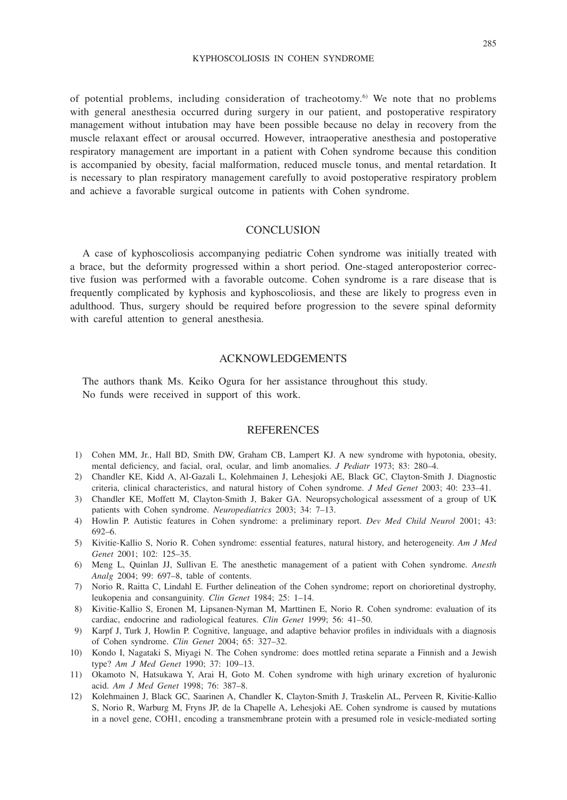#### KYPHOSCOLIOSIS IN COHEN SYNDROME

of potential problems, including consideration of tracheotomy.<sup>6)</sup> We note that no problems with general anesthesia occurred during surgery in our patient, and postoperative respiratory management without intubation may have been possible because no delay in recovery from the muscle relaxant effect or arousal occurred. However, intraoperative anesthesia and postoperative respiratory management are important in a patient with Cohen syndrome because this condition is accompanied by obesity, facial malformation, reduced muscle tonus, and mental retardation. It is necessary to plan respiratory management carefully to avoid postoperative respiratory problem and achieve a favorable surgical outcome in patients with Cohen syndrome.

## **CONCLUSION**

A case of kyphoscoliosis accompanying pediatric Cohen syndrome was initially treated with a brace, but the deformity progressed within a short period. One-staged anteroposterior corrective fusion was performed with a favorable outcome. Cohen syndrome is a rare disease that is frequently complicated by kyphosis and kyphoscoliosis, and these are likely to progress even in adulthood. Thus, surgery should be required before progression to the severe spinal deformity with careful attention to general anesthesia.

## ACKNOWLEDGEMENTS

The authors thank Ms. Keiko Ogura for her assistance throughout this study. No funds were received in support of this work.

## **REFERENCES**

- 1) Cohen MM, Jr., Hall BD, Smith DW, Graham CB, Lampert KJ. A new syndrome with hypotonia, obesity, mental deficiency, and facial, oral, ocular, and limb anomalies. *J Pediatr* 1973; 83: 280–4.
- 2) Chandler KE, Kidd A, Al-Gazali L, Kolehmainen J, Lehesjoki AE, Black GC, Clayton-Smith J. Diagnostic criteria, clinical characteristics, and natural history of Cohen syndrome. *J Med Genet* 2003; 40: 233–41.
- 3) Chandler KE, Moffett M, Clayton-Smith J, Baker GA. Neuropsychological assessment of a group of UK patients with Cohen syndrome. *Neuropediatrics* 2003; 34: 7–13.
- 4) Howlin P. Autistic features in Cohen syndrome: a preliminary report. *Dev Med Child Neurol* 2001; 43: 692–6.
- 5) Kivitie-Kallio S, Norio R. Cohen syndrome: essential features, natural history, and heterogeneity. *Am J Med Genet* 2001; 102: 125–35.
- 6) Meng L, Quinlan JJ, Sullivan E. The anesthetic management of a patient with Cohen syndrome. *Anesth Analg* 2004; 99: 697–8, table of contents.
- 7) Norio R, Raitta C, Lindahl E. Further delineation of the Cohen syndrome; report on chorioretinal dystrophy, leukopenia and consanguinity. *Clin Genet* 1984; 25: 1–14.
- 8) Kivitie-Kallio S, Eronen M, Lipsanen-Nyman M, Marttinen E, Norio R. Cohen syndrome: evaluation of its cardiac, endocrine and radiological features. *Clin Genet* 1999; 56: 41–50.
- 9) Karpf J, Turk J, Howlin P. Cognitive, language, and adaptive behavior profiles in individuals with a diagnosis of Cohen syndrome. *Clin Genet* 2004; 65: 327–32.
- 10) Kondo I, Nagataki S, Miyagi N. The Cohen syndrome: does mottled retina separate a Finnish and a Jewish type? *Am J Med Genet* 1990; 37: 109–13.
- 11) Okamoto N, Hatsukawa Y, Arai H, Goto M. Cohen syndrome with high urinary excretion of hyaluronic acid. *Am J Med Genet* 1998; 76: 387–8.
- 12) Kolehmainen J, Black GC, Saarinen A, Chandler K, Clayton-Smith J, Traskelin AL, Perveen R, Kivitie-Kallio S, Norio R, Warburg M, Fryns JP, de la Chapelle A, Lehesjoki AE. Cohen syndrome is caused by mutations in a novel gene, COH1, encoding a transmembrane protein with a presumed role in vesicle-mediated sorting